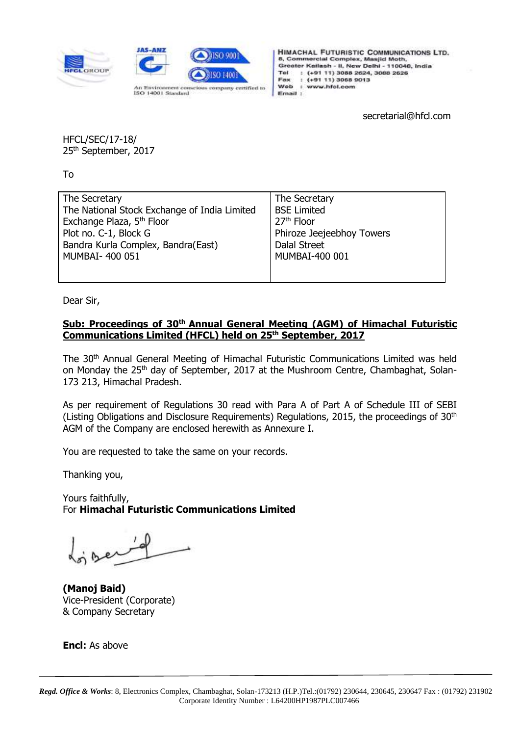



**HIMACHAL FUTURISTIC COMMUNICATIONS LTD.** 8, Commercial Complex, Masjid Moth, Greater Kailash - II, New Delhi - 110048, India Tel : (+91 11) 3088 2624, 3088 2626 Fax  $: (+9111)30689013$ Web : www.hfcl.com Email :

secretarial@hfcl.com

HFCL/SEC/17-18/ 25<sup>th</sup> September, 2017

To

| The Secretary                                | The Secretary             |
|----------------------------------------------|---------------------------|
| The National Stock Exchange of India Limited | <b>BSE Limited</b>        |
| Exchange Plaza, 5 <sup>th</sup> Floor        | 27 <sup>th</sup> Floor    |
| Plot no. C-1, Block G                        | Phiroze Jeejeebhoy Towers |
| Bandra Kurla Complex, Bandra(East)           | Dalal Street              |
| MUMBAI- 400 051                              | MUMBAI-400 001            |
|                                              |                           |
|                                              |                           |

Dear Sir,

## **Sub: Proceedings of 30th Annual General Meeting (AGM) of Himachal Futuristic Communications Limited (HFCL) held on 25th September, 2017**

The 30th Annual General Meeting of Himachal Futuristic Communications Limited was held on Monday the 25<sup>th</sup> day of September, 2017 at the Mushroom Centre, Chambaghat, Solan-173 213, Himachal Pradesh.

As per requirement of Regulations 30 read with Para A of Part A of Schedule III of SEBI (Listing Obligations and Disclosure Requirements) Requiations, 2015, the proceedings of  $30<sup>th</sup>$ AGM of the Company are enclosed herewith as Annexure I.

You are requested to take the same on your records.

Thanking you,

Yours faithfully, For **Himachal Futuristic Communications Limited**

**(Manoj Baid)** Vice-President (Corporate) & Company Secretary

**Encl:** As above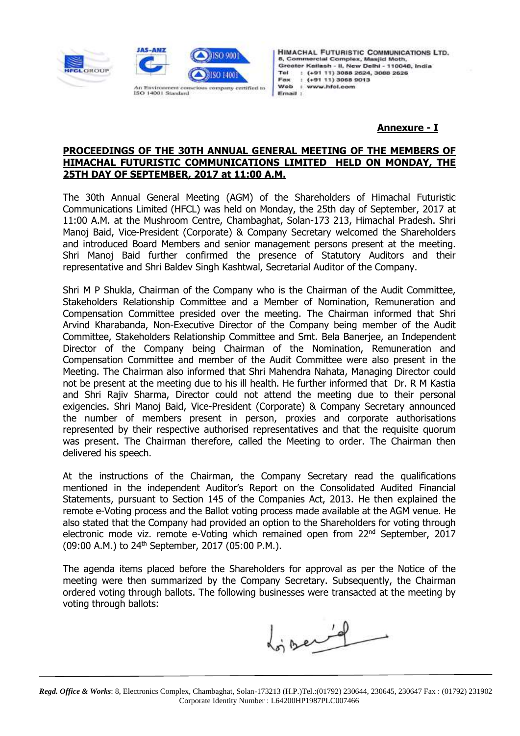



**HIMACHAL FUTURISTIC COMMUNICATIONS LTD.** 8, Commercial Complex, Masjid Moth, Greater Kailash - II, New Delhi - 110048, India Tel : (+91 11) 3088 2624, 3088 2626 Fax  $: (+9111)30689013$ Web : www.hfcl.com Email :

## **Annexure - I**

## **PROCEEDINGS OF THE 30TH ANNUAL GENERAL MEETING OF THE MEMBERS OF HIMACHAL FUTURISTIC COMMUNICATIONS LIMITED HELD ON MONDAY, THE 25TH DAY OF SEPTEMBER, 2017 at 11:00 A.M.**

The 30th Annual General Meeting (AGM) of the Shareholders of Himachal Futuristic Communications Limited (HFCL) was held on Monday, the 25th day of September, 2017 at 11:00 A.M. at the Mushroom Centre, Chambaghat, Solan-173 213, Himachal Pradesh. Shri Manoj Baid, Vice-President (Corporate) & Company Secretary welcomed the Shareholders and introduced Board Members and senior management persons present at the meeting. Shri Manoj Baid further confirmed the presence of Statutory Auditors and their representative and Shri Baldev Singh Kashtwal, Secretarial Auditor of the Company.

Shri M P Shukla, Chairman of the Company who is the Chairman of the Audit Committee, Stakeholders Relationship Committee and a Member of Nomination, Remuneration and Compensation Committee presided over the meeting. The Chairman informed that Shri Arvind Kharabanda, Non-Executive Director of the Company being member of the Audit Committee, Stakeholders Relationship Committee and Smt. Bela Banerjee, an Independent Director of the Company being Chairman of the Nomination, Remuneration and Compensation Committee and member of the Audit Committee were also present in the Meeting. The Chairman also informed that Shri Mahendra Nahata, Managing Director could not be present at the meeting due to his ill health. He further informed that Dr. R M Kastia and Shri Rajiv Sharma, Director could not attend the meeting due to their personal exigencies. Shri Manoj Baid, Vice-President (Corporate) & Company Secretary announced the number of members present in person, proxies and corporate authorisations represented by their respective authorised representatives and that the requisite quorum was present. The Chairman therefore, called the Meeting to order. The Chairman then delivered his speech.

At the instructions of the Chairman, the Company Secretary read the qualifications mentioned in the independent Auditor's Report on the Consolidated Audited Financial Statements, pursuant to Section 145 of the Companies Act, 2013. He then explained the remote e-Voting process and the Ballot voting process made available at the AGM venue. He also stated that the Company had provided an option to the Shareholders for voting through electronic mode viz. remote e-Voting which remained open from 22<sup>nd</sup> September, 2017 (09:00 A.M.) to 24th September, 2017 (05:00 P.M.).

The agenda items placed before the Shareholders for approval as per the Notice of the meeting were then summarized by the Company Secretary. Subsequently, the Chairman ordered voting through ballots. The following businesses were transacted at the meeting by voting through ballots:

doisend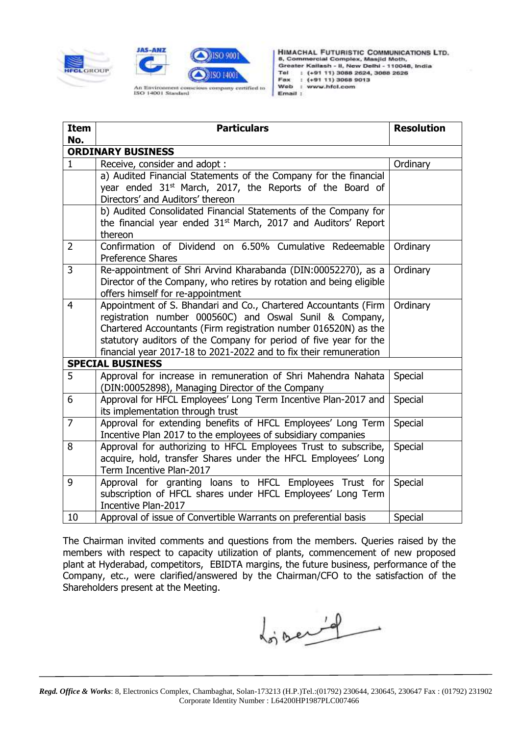



HIMACHAL FUTURISTIC COMMUNICATIONS LTD.<br>8, Commercial Complex, Masjid Moth, Greater Kailash - II, New Delhi - 110048, India Tel : (+91 11) 3088 2624, 3088 2626 Fax : (+91 11) 3068 9013 Web : www.hfcl.com Email :

| <b>Item</b>                     | <b>Particulars</b>                                                   | <b>Resolution</b> |
|---------------------------------|----------------------------------------------------------------------|-------------------|
| No.<br><b>ORDINARY BUSINESS</b> |                                                                      |                   |
| 1                               | Receive, consider and adopt:                                         | Ordinary          |
|                                 | a) Audited Financial Statements of the Company for the financial     |                   |
|                                 | year ended 31 <sup>st</sup> March, 2017, the Reports of the Board of |                   |
|                                 | Directors' and Auditors' thereon                                     |                   |
|                                 | b) Audited Consolidated Financial Statements of the Company for      |                   |
|                                 | the financial year ended $31st$ March, 2017 and Auditors' Report     |                   |
|                                 | thereon                                                              |                   |
| $\overline{2}$                  | Confirmation of Dividend on 6.50% Cumulative Redeemable              | Ordinary          |
|                                 | Preference Shares                                                    |                   |
| 3                               | Re-appointment of Shri Arvind Kharabanda (DIN:00052270), as a        | Ordinary          |
|                                 | Director of the Company, who retires by rotation and being eligible  |                   |
|                                 | offers himself for re-appointment                                    |                   |
| $\overline{4}$                  | Appointment of S. Bhandari and Co., Chartered Accountants (Firm      | Ordinary          |
|                                 | registration number 000560C) and Oswal Sunil & Company,              |                   |
|                                 | Chartered Accountants (Firm registration number 016520N) as the      |                   |
|                                 | statutory auditors of the Company for period of five year for the    |                   |
|                                 | financial year 2017-18 to 2021-2022 and to fix their remuneration    |                   |
| <b>SPECIAL BUSINESS</b>         |                                                                      |                   |
| 5                               | Approval for increase in remuneration of Shri Mahendra Nahata        | Special           |
|                                 | (DIN:00052898), Managing Director of the Company                     |                   |
| 6                               | Approval for HFCL Employees' Long Term Incentive Plan-2017 and       | Special           |
|                                 | its implementation through trust                                     |                   |
| $\overline{7}$                  | Approval for extending benefits of HFCL Employees' Long Term         | Special           |
|                                 | Incentive Plan 2017 to the employees of subsidiary companies         |                   |
| 8                               | Approval for authorizing to HFCL Employees Trust to subscribe,       | Special           |
|                                 | acquire, hold, transfer Shares under the HFCL Employees' Long        |                   |
|                                 | Term Incentive Plan-2017                                             |                   |
| 9                               | Approval for granting loans to HFCL Employees Trust for              | Special           |
|                                 | subscription of HFCL shares under HFCL Employees' Long Term          |                   |
|                                 | Incentive Plan-2017                                                  |                   |
| 10                              | Approval of issue of Convertible Warrants on preferential basis      | Special           |

The Chairman invited comments and questions from the members. Queries raised by the members with respect to capacity utilization of plants, commencement of new proposed plant at Hyderabad, competitors, EBIDTA margins, the future business, performance of the Company, etc., were clarified/answered by the Chairman/CFO to the satisfaction of the Shareholders present at the Meeting.

for server